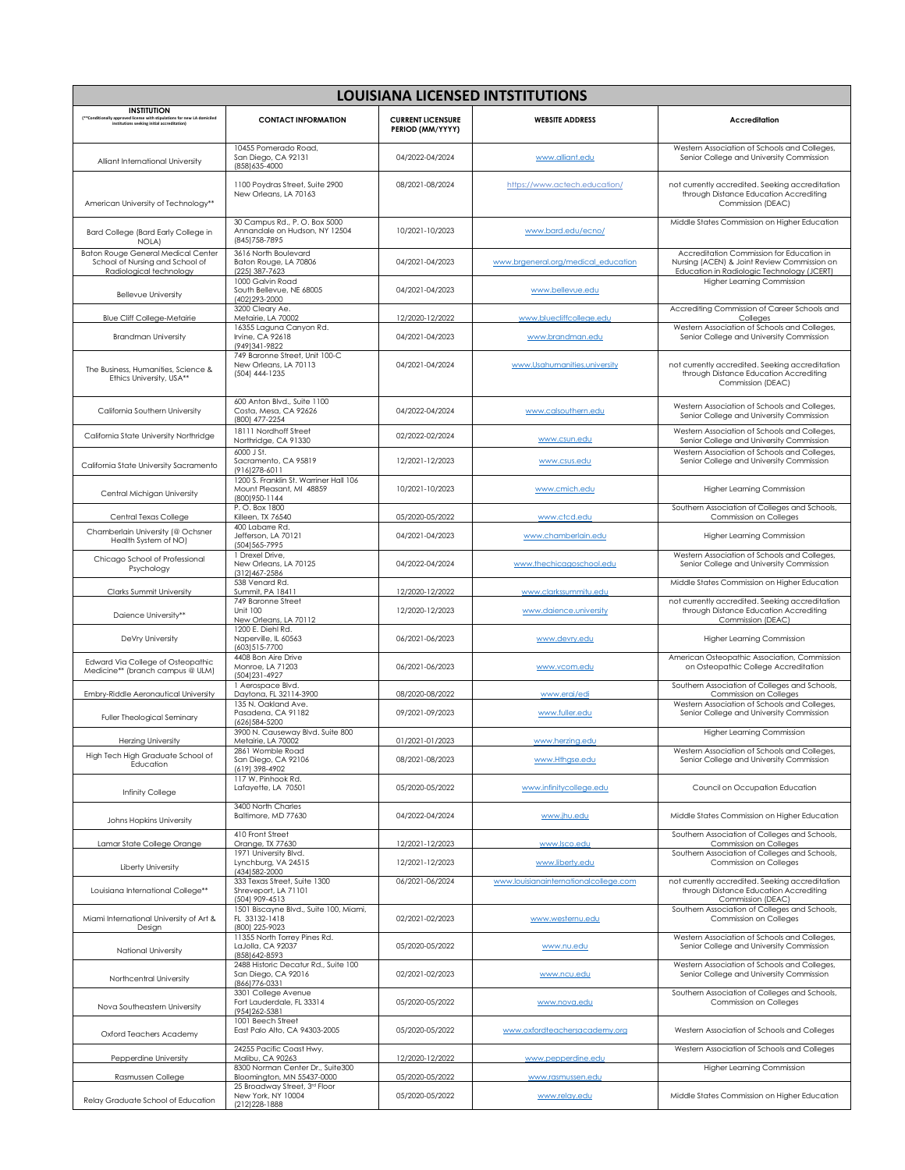| <b>LOUISIANA LICENSED INTSTITUTIONS</b>                                                                                                       |                                                                                      |                                              |                                       |                                                                                                                                        |  |  |  |
|-----------------------------------------------------------------------------------------------------------------------------------------------|--------------------------------------------------------------------------------------|----------------------------------------------|---------------------------------------|----------------------------------------------------------------------------------------------------------------------------------------|--|--|--|
| <b>INSTITUTION</b><br>(**Conditionally approved license with stipulations for new LA domiciled<br>institutions seeking initial accreditation) | <b>CONTACT INFORMATION</b>                                                           | <b>CURRENT LICENSURE</b><br>PERIOD (MM/YYYY) | <b>WEBSITE ADDRESS</b>                | <b>Accreditation</b>                                                                                                                   |  |  |  |
| Alliant International University                                                                                                              | 10455 Pomerado Road,<br>San Diego, CA 92131<br>(858) 635-4000                        | 04/2022-04/2024                              | www.alliant.edu                       | Western Association of Schools and Colleges,<br>Senior College and University Commission                                               |  |  |  |
| American University of Technology**                                                                                                           | 1100 Poydras Street, Suite 2900<br>New Orleans, LA 70163                             | 08/2021-08/2024                              | https://www.actech.education/         | not currently accredited. Seeking accreditation<br>through Distance Education Accrediting<br>Commission (DEAC)                         |  |  |  |
| Bard College (Bard Early College in<br>NOLA)                                                                                                  | 30 Campus Rd., P.O. Box 5000<br>Annandale on Hudson, NY 12504<br>(845) 758-7895      | 10/2021-10/2023                              | www.bard.edu/ecno/                    | Middle States Commission on Higher Education                                                                                           |  |  |  |
| <b>Baton Rouge General Medical Center</b><br>School of Nursing and School of<br>Radiological technology                                       | 3616 North Boulevard<br>Baton Rouge, LA 70806<br>(225) 387-7623                      | 04/2021-04/2023                              | www.brgeneral.org/medical_education   | Accreditation Commission for Education in<br>Nursing (ACEN) & Joint Review Commission on<br>Education in Radiologic Technology (JCERT) |  |  |  |
| <b>Bellevue University</b>                                                                                                                    | 1000 Galvin Road<br>South Bellevue, NE 68005<br>(402) 293-2000                       | 04/2021-04/2023                              | www.bellevue.edu                      | Higher Learning Commission                                                                                                             |  |  |  |
| <b>Blue Cliff College-Metairie</b>                                                                                                            | 3200 Cleary Ae.<br>Metairie, LA 70002                                                | 12/2020-12/2022                              | www.bluecliffcollege.edu              | Accrediting Commission of Career Schools and<br>Colleges                                                                               |  |  |  |
| <b>Brandman University</b>                                                                                                                    | 16355 Laguna Canyon Rd.<br>Irvine, CA 92618<br>(949) 341-9822                        | 04/2021-04/2023                              | www.brandman.edu                      | Western Association of Schools and Colleges,<br>Senior College and University Commission                                               |  |  |  |
| The Business, Humanities, Science &<br>Ethics University, USA**                                                                               | 749 Baronne Street, Unit 100-C<br>New Orleans, LA 70113<br>(504) 444-1235            | 04/2021-04/2024                              | www.Usahumanities.university          | not currently accredited. Seeking accreditation<br>through Distance Education Accrediting<br>Commission (DEAC)                         |  |  |  |
| California Southern University                                                                                                                | 600 Anton Blvd., Suite 1100<br>Costa, Mesa, CA 92626<br>(800) 477-2254               | 04/2022-04/2024                              | www.calsouthern.edu                   | Western Association of Schools and Colleges.<br>Senior College and University Commission                                               |  |  |  |
| California State University Northridge                                                                                                        | 18111 Nordhoff Street<br>Northridge, CA 91330                                        | 02/2022-02/2024                              | www.csun.edu                          | Western Association of Schools and Colleges,<br>Senior College and University Commission                                               |  |  |  |
| California State University Sacramento                                                                                                        | 6000 J St.<br>Sacramento, CA 95819<br>(916) 278-6011                                 | 12/2021-12/2023                              | www.csus.edu                          | Western Association of Schools and Colleges,<br>Senior College and University Commission                                               |  |  |  |
| Central Michigan University                                                                                                                   | 1200 S. Franklin St. Warriner Hall 106<br>Mount Pleasant, MI 48859<br>(800) 950-1144 | 10/2021-10/2023                              | www.cmich.edu                         | Higher Learning Commission                                                                                                             |  |  |  |
| Central Texas College                                                                                                                         | P.O. Box 1800<br>Killeen, TX 76540                                                   | 05/2020-05/2022                              | www.ctcd.edu                          | Southern Association of Colleges and Schools,<br>Commission on Colleges                                                                |  |  |  |
| Chamberlain University (@ Ochsner<br>Health System of NO)                                                                                     | 400 Labarre Rd.<br>Jefferson, LA 70121<br>(504) 565-7995                             | 04/2021-04/2023                              | www.chamberlain.edu                   | Higher Learning Commission                                                                                                             |  |  |  |
| Chicago School of Professional<br>Psychology                                                                                                  | 1 Drexel Drive,<br>New Orleans, LA 70125<br>(312) 467-2586                           | 04/2022-04/2024                              | www.thechicagoschool.edu              | Western Association of Schools and Colleges,<br>Senior College and University Commission                                               |  |  |  |
| Clarks Summit University                                                                                                                      | 538 Venard Rd.<br>Summit, PA 18411                                                   | 12/2020-12/2022                              | www.clarkssummitu.edu                 | Middle States Commission on Higher Education                                                                                           |  |  |  |
| Daience University**                                                                                                                          | 749 Baronne Street<br><b>Unit 100</b><br>New Orleans, LA 70112                       | 12/2020-12/2023                              | www.daience.university                | not currently accredited. Seeking accreditation<br>through Distance Education Accrediting<br>Commission (DEAC)                         |  |  |  |
| DeVry University                                                                                                                              | 1200 E. Diehl Rd.<br>Naperville, IL 60563<br>(603) 515-7700                          | 06/2021-06/2023                              | www.devry.edu                         | Higher Learning Commission                                                                                                             |  |  |  |
| Edward Via College of Osteopathic<br>Medicine** (branch campus @ ULM)                                                                         | 4408 Bon Aire Drive<br>Monroe, LA 71203<br>(504) 231-4927                            | 06/2021-06/2023                              | www.vcom.edu                          | American Osteopathic Association, Commission<br>on Osteopathic College Accreditation                                                   |  |  |  |
| Embry-Riddle Aeronautical University                                                                                                          | 1 Aerospace Blvd.<br>Daytona, FL 32114-3900                                          | 08/2020-08/2022                              | www.erai/edi                          | Southern Association of Colleges and Schools,<br>Commission on Colleges                                                                |  |  |  |
| Fuller Theological Seminary                                                                                                                   | 135 N. Oakland Ave.<br>Pasadena, CA 91182<br>(626) 584-5200                          | 09/2021-09/2023                              | www.fuller.edu                        | Western Association of Schools and Colleges,<br>Senior College and University Commission                                               |  |  |  |
| <b>Herzing University</b>                                                                                                                     | 3900 N. Causeway Blvd. Suite 800<br>Metairie, LA 70002                               | 01/2021-01/2023                              | www.herzing.edu                       | Higher Learning Commission                                                                                                             |  |  |  |
| High Tech High Graduate School of<br>Education                                                                                                | 2861 Womble Road<br>San Diego, CA 92106<br>(619) 398-4902                            | 08/2021-08/2023                              | www.Hthgse.edu                        | Western Association of Schools and Colleges,<br>Senior College and University Commission                                               |  |  |  |
| Infinity College                                                                                                                              | 117 W. Pinhook Rd.<br>Lafayette, LA 70501                                            | 05/2020-05/2022                              | www.infinitycollege.edu               | Council on Occupation Education                                                                                                        |  |  |  |
| Johns Hopkins University                                                                                                                      | 3400 North Charles<br>Baltimore, MD 77630                                            | 04/2022-04/2024                              | www.jhu.edu                           | Middle States Commission on Higher Education                                                                                           |  |  |  |
| Lamar State College Orange                                                                                                                    | 410 Front Street<br>Orange, TX 77630                                                 | 12/2021-12/2023                              | www.lsco.edu                          | Southern Association of Colleges and Schools,<br>Commission on Colleges                                                                |  |  |  |
| Liberty University                                                                                                                            | 1971 University Blvd.<br>Lynchburg, VA 24515<br>(434) 582-2000                       | 12/2021-12/2023                              | www.liberty.edu                       | Southern Association of Colleges and Schools,<br>Commission on Colleges                                                                |  |  |  |
| Louisiana International College**                                                                                                             | 333 Texas Street, Suite 1300<br>Shreveport, LA 71101<br>(504) 909-4513               | 06/2021-06/2024                              | www.louisianainternationalcollege.com | not currently accredited. Seeking accreditation<br>through Distance Education Accrediting<br>Commission (DEAC)                         |  |  |  |
| Miami International University of Art &<br>Design                                                                                             | 1501 Biscayne Blvd., Suite 100, Miami,<br>FL 33132-1418<br>(800) 225-9023            | 02/2021-02/2023                              | www.westernu.edu                      | Southern Association of Colleges and Schools,<br>Commission on Colleges                                                                |  |  |  |
| National University                                                                                                                           | 11355 North Torrey Pines Rd.<br>LaJolla, CA 92037<br>(858) 642-8593                  | 05/2020-05/2022                              | www.nu.edu                            | Western Association of Schools and Colleges,<br>Senior College and University Commission                                               |  |  |  |
| Northcentral University                                                                                                                       | 2488 Historic Decatur Rd., Suite 100<br>San Diego, CA 92016<br>(866) 776-0331        | 02/2021-02/2023                              | www.ncu.edu                           | Western Association of Schools and Colleges,<br>Senior College and University Commission                                               |  |  |  |
| Nova Southeastern University                                                                                                                  | 3301 College Avenue<br>Fort Lauderdale, FL 33314<br>(954) 262-5381                   | 05/2020-05/2022                              | www.nova.edu                          | Southern Association of Colleges and Schools,<br>Commission on Colleges                                                                |  |  |  |
| Oxford Teachers Academy                                                                                                                       | 1001 Beech Street<br>East Palo Alto, CA 94303-2005                                   | 05/2020-05/2022                              | www.oxfordteachersacademy.org         | Western Association of Schools and Colleges                                                                                            |  |  |  |
| Pepperdine University                                                                                                                         | 24255 Pacific Coast Hwy.<br>Malibu, CA 90263                                         | 12/2020-12/2022                              | www.pepperdine.edu                    | Western Association of Schools and Colleges                                                                                            |  |  |  |
| Rasmussen College                                                                                                                             | 8300 Norman Center Dr., Suite300<br>Bloomington, MN 55437-0000                       | 05/2020-05/2022                              | www.rasmussen.edu                     | Higher Learning Commission                                                                                                             |  |  |  |
| Relay Graduate School of Education                                                                                                            | 25 Broadway Street, 3rd Floor<br>New York, NY 10004<br>(212) 228-1888                | 05/2020-05/2022                              | www.relay.edu                         | Middle States Commission on Higher Education                                                                                           |  |  |  |